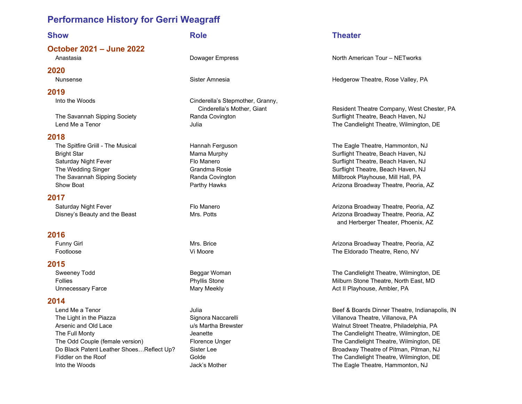October 2021 – June 2022

### 2020

### 2019

### 2018

### 2017

### 2016

### 2015

### 2014

Lend Me a Tenor **State Act a Tenor Act and State Act a** Julia **Beef & Boards Dinner Theatre, Indianapolis, IN** The Light in the Piazza The Signora Naccarelli Signora Naccarelli Villanova Theatre, Villanova, PA Arsenic and Old Lace **u/s Martha Brewster Walnut Street Theatre**, Philadelphia, PA The Full Monty **The Candlelight Theatre, Wilmington, DE** Jeanette Jeanette The Candlelight Theatre, Wilmington, DE The Odd Couple (female version) Florence Unger The Candlelight Theatre, Wilmington, DE Do Black Patent Leather Shoes...Reflect Up? Sister Lee Broadway Theatre of Pitman, Pitman, NJ Fiddler on the Roof **Solution Colde** Golde Golde The Candlelight Theatre, Wilmington, DE Into the Woods **State Act and The Eagle Theatre, Hammonton, NJ** and the Woods of the Theatre, Hammonton, NJ

Into the Woods Cinderella's Stepmother, Granny,

### Show **Role** Role **Theater**

Anastasia **North American Tour – NETworks** Dowager Empress North American Tour – NETworks

Nunsense Sister Amnesia Hedgerow Theatre, Rose Valley, PA

Cinderella's Mother, Giant **Resident Theatre Company, West Chester, PA** The Savannah Sipping Society **Randa Covington Surflight Theatre, Beach Haven, NJ** Surflight Theatre, Beach Haven, NJ Lend Me a Tenor **Constanting Construction Construction** Julia Julia **The Candlelight Theatre, Wilmington, DE** 

The Spitfire Griill - The Musical **Hannah Ferguson** Hannah Ferguson The Eagle Theatre, Hammonton, NJ Bright Star **Mama Murphy Surflight Theatre, Beach Haven**, NJ Saturday Night Fever **Fig. 3. In the Surflight Theatre, Beach Haven, NJ** Surflight Theatre, Beach Haven, NJ The Wedding Singer The Wedding Singer Controller Surflight Theatre, Beach Haven, NJ The Savannah Sipping Society **Randa Covington Miller Accident Millbrook Playhouse**, Mill Hall, PA Show Boat **Arizona Broadway Theatre, Peoria, AZ** Parthy Hawks **Arizona Broadway Theatre, Peoria, AZ** 

Saturday Night Fever **Fig. 3. The Manero** Flo Manero **Arizona Broadway Theatre, Peoria, AZ** Arizona Broadway Theatre, Peoria, AZ Disney's Beauty and the Beast **Mrs. Potts Arizona Broadway Theatre, Peoria**, AZ and Herberger Theater, Phoenix, AZ

Funny Girl **Mrs. Brice** Mrs. Brice Arizona Broadway Theatre, Peoria, AZ Footloose Vi Moore The Eldorado Theatre, Reno, NV

Sweeney Todd **Beggar Woman** Beggar Woman The Candlelight Theatre, Wilmington, DE Follies **Example 2** Follies Phyllis Stone Milburn Stone Theatre, North East, MD Unnecessary Farce **Mary Meekly** Mary Meekly Act II Playhouse, Ambler, PA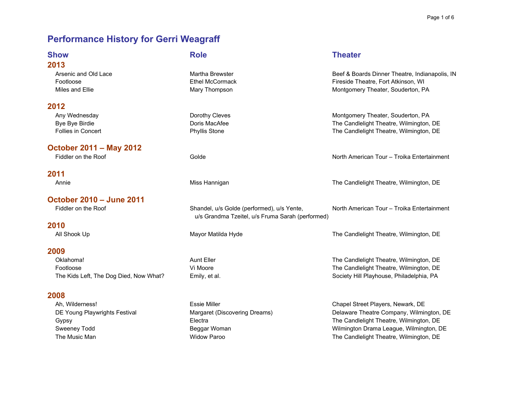| <b>Show</b>                            | <b>Role</b>                                                                                    | <b>Theater</b>                                                                        |
|----------------------------------------|------------------------------------------------------------------------------------------------|---------------------------------------------------------------------------------------|
| 2013                                   |                                                                                                |                                                                                       |
| Arsenic and Old Lace<br>Footloose      | Martha Brewster<br><b>Ethel McCormack</b>                                                      | Beef & Boards Dinner Theatre, Indianapolis, IN<br>Fireside Theatre, Fort Atkinson, WI |
| Miles and Ellie                        | Mary Thompson                                                                                  | Montgomery Theater, Souderton, PA                                                     |
| 2012                                   |                                                                                                |                                                                                       |
| Any Wednesday                          | Dorothy Cleves                                                                                 | Montgomery Theater, Souderton, PA                                                     |
| Bye Bye Birdie                         | Doris MacAfee                                                                                  | The Candlelight Theatre, Wilmington, DE                                               |
| <b>Follies in Concert</b>              | <b>Phyllis Stone</b>                                                                           | The Candlelight Theatre, Wilmington, DE                                               |
| <b>October 2011 - May 2012</b>         |                                                                                                |                                                                                       |
| Fiddler on the Roof                    | Golde                                                                                          | North American Tour - Troika Entertainment                                            |
| 2011                                   |                                                                                                |                                                                                       |
| Annie                                  | Miss Hannigan                                                                                  | The Candlelight Theatre, Wilmington, DE                                               |
| <b>October 2010 - June 2011</b>        |                                                                                                |                                                                                       |
| Fiddler on the Roof                    | Shandel, u/s Golde (performed), u/s Yente,<br>u/s Grandma Tzeitel, u/s Fruma Sarah (performed) | North American Tour - Troika Entertainment                                            |
| 2010                                   |                                                                                                |                                                                                       |
| All Shook Up                           | Mayor Matilda Hyde                                                                             | The Candlelight Theatre, Wilmington, DE                                               |
| 2009                                   |                                                                                                |                                                                                       |
| Oklahoma!                              | <b>Aunt Eller</b>                                                                              | The Candlelight Theatre, Wilmington, DE                                               |
| Footloose                              | Vi Moore                                                                                       | The Candlelight Theatre, Wilmington, DE                                               |
| The Kids Left, The Dog Died, Now What? | Emily, et al.                                                                                  | Society Hill Playhouse, Philadelphia, PA                                              |
| 2008                                   |                                                                                                |                                                                                       |
| Ah, Wilderness!                        | <b>Essie Miller</b>                                                                            | Chapel Street Players, Newark, DE                                                     |
| DE Young Playwrights Festival          | Margaret (Discovering Dreams)                                                                  | Delaware Theatre Company, Wilmington, DE                                              |
| Gypsy                                  | Electra                                                                                        | The Candlelight Theatre, Wilmington, DE                                               |
| Sweeney Todd                           | Beggar Woman                                                                                   | Wilmington Drama League, Wilmington, DE                                               |
| The Music Man                          | <b>Widow Paroo</b>                                                                             | The Candlelight Theatre, Wilmington, DE                                               |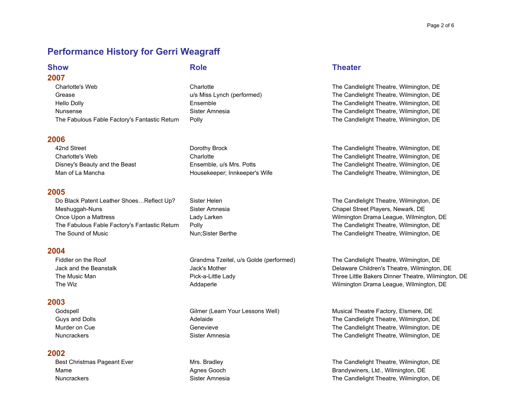### 2007

Charlotte's Web Charlotte The Candlelight Theatre, Wilmington, DE Grease The Candlelight Theatre, Wilmington, DE u/s Miss Lynch (performed) The Candlelight Theatre, Wilmington, DE Hello Dolly **Ensemble** Ensemble **Ensemble** The Candlelight Theatre, Wilmington, DE Nunsense Sister Amnesia Solution Stephen Stephen Stephen Stephen Stephen Stephen Stephen Stephen Stephen Stephen Stephen Stephen Stephen Stephen Stephen Stephen Stephen Stephen Stephen Stephen Stephen Stephen Stephen Steph The Fabulous Fable Factory's Fantastic Return Polly **The Candlelight Theatre, Wilmington, DE** 

### 2006

42nd Street Dorothy Brock The Candlelight Theatre, Wilmington, DE Charlotte's Web Charlotte The Candlelight Theatre, Wilmington, DE Disney's Beauty and the Beast Ensemble, u/s Mrs. Potts The Candlelight Theatre, Wilmington, DE Man of La Mancha **Housekeeper; Innkeeper's Wife** The Candlelight Theatre, Wilmington, DE

### 2005

Do Black Patent Leather Shoes...Reflect Up? Sister Helen The Candlelight Theatre, Wilmington, DE Meshuggah-Nuns **Sister Amnesia** Sister Amnesia Chapel Street Players, Newark, DE Once Upon a Mattress **Lady Larken** Lady Larken Wilmington Drama League, Wilmington, DE The Fabulous Fable Factory's Fantastic Return Polly **Properties and Connect Act Candlelight Theatre, Wilmington, DE** The Sound of Music **Nungton, Community Community** Nun;Sister Berthe The Candlelight Theatre, Wilmington, DE

### 2004

### 2003

### 2002

### Show **Role** Role **Theater**

Fiddler on the Roof Grandma Tzeitel, u/s Golde (performed) The Candlelight Theatre, Wilmington, DE Jack and the Beanstalk Jack's Mother Delaware Children's Theatre, Wilmington, DE The Music Man **Pick-a-Little Lady** Pick-a-Little Lady **Three Little Bakers Dinner Theatre, Wilmington**, DE The Wiz **Example 20** Addaperle Addaperle Wilmington Drama League, Wilmington, DE

Godspell **Gilmer (Learn Your Lessons Well)** Musical Theatre Factory, Elsmere, DE Guys and Dolls **Adelaide** Adelaide **The Candlelight Theatre, Wilmington, DE** Murder on Cue **Genevieve** Genevieve Genevieve The Candlelight Theatre, Wilmington, DE Nuncrackers **Sister Amnesia** Sister Amnesia The Candlelight Theatre, Wilmington, DE

Best Christmas Pageant Ever **Mrs. Bradley Christmas Pageant Ever Mrs. Bradley** The Candlelight Theatre, Wilmington, DE Mame **Agnes Gooch** Agnes Gooch **Brandywiners, Ltd., Wilmington, DE** Nuncrackers **Sister Amnesia** Sister Amnesia Sister Amnesia The Candlelight Theatre, Wilmington, DE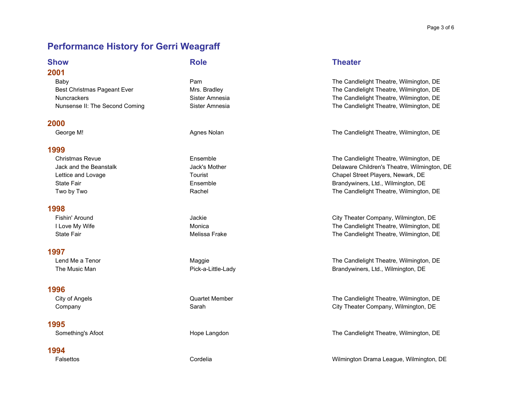### 2001

### 2000

### 1999

### 1998

### 1997

### 1996

### 1995

### 1994

### Show **Role** Role **Theater**

Baby Pam The Candlelight Theatre, Wilmington, DE Best Christmas Pageant Ever **Mrs. Bradley Christmas Pageant Ever Mrs. Bradley** The Candlelight Theatre, Wilmington, DE Nuncrackers **Sister Amnesia** Sister Amnesia The Candlelight Theatre, Wilmington, DE Nunsense II: The Second Coming Sister Amnesia Sister Amnesia The Candlelight Theatre, Wilmington, DE

George M! Community Controller Agnes Nolan Agnes Nolan The Candlelight Theatre, Wilmington, DE

Christmas Revue **Ensemble** Ensemble **Ensemble Ensemble** The Candlelight Theatre, Wilmington, DE Jack and the Beanstalk Jack's Mother Delaware Children's Theatre, Wilmington, DE Lettice and Lovage Tourist Chapel Street Players, Newark, DE State Fair **Ensemble** Ensemble **Ensemble** Brandywiners, Ltd., Wilmington, DE Two by Two **Example 20** The Candlelight Theatre, Wilmington, DE

Fishin' Around **Fishin' Around Jackie Metally State City Theater Company, Wilmington, DE** I Love My Wife **Monica** Monica Monica Monica The Candlelight Theatre, Wilmington, DE State Fair **State Fair** The Candlelight Theatre, Wilmington, DE

Lend Me a Tenor **Maggie Maggie The Candlelight Theatre, Wilmington, DE** The Music Man **Pick-a-Little-Lady** Pick-a-Little-Lady **Brandywiners, Ltd., Wilmington, DE** 

City of Angels **Cuarter Member** Quartet Member **The Candlelight Theatre, Wilmington, DE** Company Sarah City Theater Company, Wilmington, DE

Something's Afoot **Something's Afoot** Hope Langdon Hope Langdon The Candlelight Theatre, Wilmington, DE

Falsettos Cordelia Wilmington Drama League, Wilmington, DE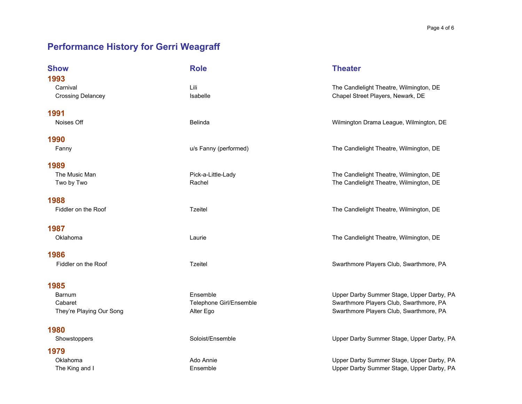| <b>Show</b>                                  | <b>Role</b>             | <b>Theater</b>                                                               |
|----------------------------------------------|-------------------------|------------------------------------------------------------------------------|
| 1993<br>Carnival<br><b>Crossing Delancey</b> | Lili<br>Isabelle        | The Candlelight Theatre, Wilmington, DE<br>Chapel Street Players, Newark, DE |
| 1991<br>Noises Off                           | Belinda                 | Wilmington Drama League, Wilmington, DE                                      |
| 1990                                         |                         |                                                                              |
| Fanny                                        | u/s Fanny (performed)   | The Candlelight Theatre, Wilmington, DE                                      |
| 1989                                         |                         |                                                                              |
| The Music Man                                | Pick-a-Little-Lady      | The Candlelight Theatre, Wilmington, DE                                      |
| Two by Two                                   | Rachel                  | The Candlelight Theatre, Wilmington, DE                                      |
| 1988                                         |                         |                                                                              |
| Fiddler on the Roof                          | <b>Tzeitel</b>          | The Candlelight Theatre, Wilmington, DE                                      |
| 1987                                         |                         |                                                                              |
| Oklahoma                                     | Laurie                  | The Candlelight Theatre, Wilmington, DE                                      |
| 1986                                         |                         |                                                                              |
| Fiddler on the Roof                          | <b>Tzeitel</b>          | Swarthmore Players Club, Swarthmore, PA                                      |
| 1985                                         |                         |                                                                              |
| <b>Barnum</b>                                | Ensemble                | Upper Darby Summer Stage, Upper Darby, PA                                    |
| Cabaret                                      | Telephone Girl/Ensemble | Swarthmore Players Club, Swarthmore, PA                                      |
| They're Playing Our Song                     | Alter Ego               | Swarthmore Players Club, Swarthmore, PA                                      |
| 1980                                         |                         |                                                                              |
| Showstoppers                                 | Soloist/Ensemble        | Upper Darby Summer Stage, Upper Darby, PA                                    |

1979 Oklahoma **Ado Annie** Ado Annie and Ado Annie and Ado Annie Ado Annie Ado Annie Ado Annie Register Annie Ado Annie Network Deper Darby Summer Stage, Upper Darby, PA The King and I **Ensemble** Ensemble Ensemble Upper Darby Summer Stage, Upper Darby, PA